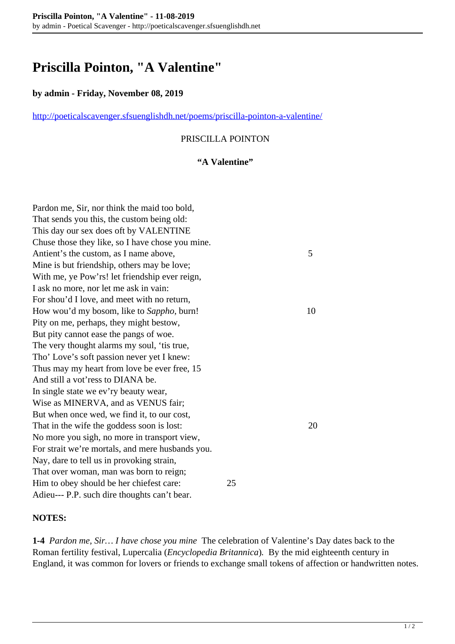# **Priscilla Pointon, "A Valentine"**

## **by admin - Friday, November 08, 2019**

<http://poeticalscavenger.sfsuenglishdh.net/poems/priscilla-pointon-a-valentine/>

# PRISCILLA POINTON

### **"A Valentine"**

| Pardon me, Sir, nor think the maid too bold,     |    |    |
|--------------------------------------------------|----|----|
| That sends you this, the custom being old:       |    |    |
| This day our sex does oft by VALENTINE           |    |    |
| Chuse those they like, so I have chose you mine. |    |    |
| Antient's the custom, as I name above,           |    | 5  |
| Mine is but friendship, others may be love;      |    |    |
| With me, ye Pow'rs! let friendship ever reign,   |    |    |
| I ask no more, nor let me ask in vain:           |    |    |
| For shou'd I love, and meet with no return,      |    |    |
| How wou'd my bosom, like to Sappho, burn!        |    | 10 |
| Pity on me, perhaps, they might bestow,          |    |    |
| But pity cannot ease the pangs of woe.           |    |    |
| The very thought alarms my soul, 'tis true,      |    |    |
| Tho' Love's soft passion never yet I knew:       |    |    |
| Thus may my heart from love be ever free, 15     |    |    |
| And still a vot'ress to DIANA be.                |    |    |
| In single state we ev'ry beauty wear,            |    |    |
| Wise as MINERVA, and as VENUS fair;              |    |    |
| But when once wed, we find it, to our cost,      |    |    |
| That in the wife the goddess soon is lost:       |    | 20 |
| No more you sigh, no more in transport view,     |    |    |
| For strait we're mortals, and mere husbands you. |    |    |
| Nay, dare to tell us in provoking strain,        |    |    |
| That over woman, man was born to reign;          |    |    |
| Him to obey should be her chiefest care:         | 25 |    |
| Adieu--- P.P. such dire thoughts can't bear.     |    |    |

#### **NOTES:**

**1-4** *Pardon me, Sir… I have chose you mine* The celebration of Valentine's Day dates back to the Roman fertility festival, Lupercalia (*Encyclopedia Britannica*)*.* By the mid eighteenth century in England, it was common for lovers or friends to exchange small tokens of affection or handwritten notes.